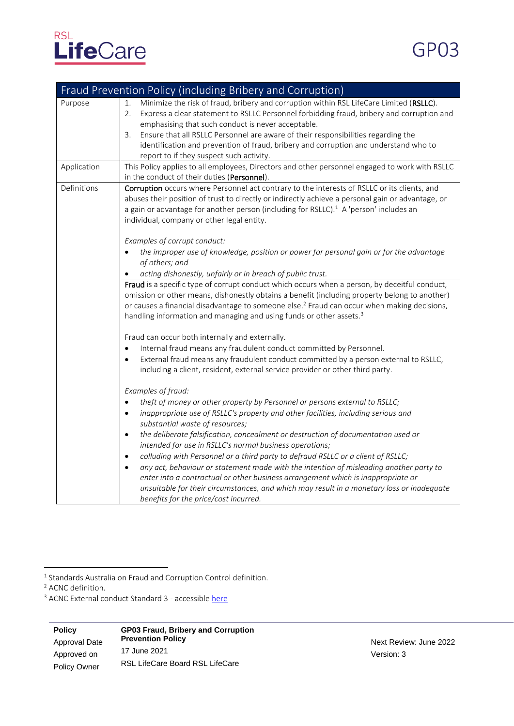

| Fraud Prevention Policy (including Bribery and Corruption) |                                                                                                                                                                                                                                                                                                                                                                                                                                                                                                                                                                                                                                                                                                                                                                                                                                                    |  |
|------------------------------------------------------------|----------------------------------------------------------------------------------------------------------------------------------------------------------------------------------------------------------------------------------------------------------------------------------------------------------------------------------------------------------------------------------------------------------------------------------------------------------------------------------------------------------------------------------------------------------------------------------------------------------------------------------------------------------------------------------------------------------------------------------------------------------------------------------------------------------------------------------------------------|--|
| Purpose                                                    | Minimize the risk of fraud, bribery and corruption within RSL LifeCare Limited (RSLLC).<br>1.<br>2.<br>Express a clear statement to RSLLC Personnel forbidding fraud, bribery and corruption and<br>emphasising that such conduct is never acceptable.<br>Ensure that all RSLLC Personnel are aware of their responsibilities regarding the<br>3.<br>identification and prevention of fraud, bribery and corruption and understand who to<br>report to if they suspect such activity.                                                                                                                                                                                                                                                                                                                                                              |  |
| Application                                                | This Policy applies to all employees, Directors and other personnel engaged to work with RSLLC<br>in the conduct of their duties (Personnel).                                                                                                                                                                                                                                                                                                                                                                                                                                                                                                                                                                                                                                                                                                      |  |
| Definitions                                                | Corruption occurs where Personnel act contrary to the interests of RSLLC or its clients, and<br>abuses their position of trust to directly or indirectly achieve a personal gain or advantage, or<br>a gain or advantage for another person (including for RSLLC). <sup>1</sup> A 'person' includes an<br>individual, company or other legal entity.<br>Examples of corrupt conduct:<br>the improper use of knowledge, position or power for personal gain or for the advantage<br>of others; and<br>acting dishonestly, unfairly or in breach of public trust.                                                                                                                                                                                                                                                                                    |  |
|                                                            | Fraud is a specific type of corrupt conduct which occurs when a person, by deceitful conduct,<br>omission or other means, dishonestly obtains a benefit (including property belong to another)<br>or causes a financial disadvantage to someone else. <sup>2</sup> Fraud can occur when making decisions,<br>handling information and managing and using funds or other assets. <sup>3</sup>                                                                                                                                                                                                                                                                                                                                                                                                                                                       |  |
|                                                            | Fraud can occur both internally and externally.<br>Internal fraud means any fraudulent conduct committed by Personnel.<br>$\bullet$<br>External fraud means any fraudulent conduct committed by a person external to RSLLC,<br>$\bullet$<br>including a client, resident, external service provider or other third party.                                                                                                                                                                                                                                                                                                                                                                                                                                                                                                                          |  |
|                                                            | Examples of fraud:<br>theft of money or other property by Personnel or persons external to RSLLC;<br>$\bullet$<br>inappropriate use of RSLLC's property and other facilities, including serious and<br>$\bullet$<br>substantial waste of resources;<br>the deliberate falsification, concealment or destruction of documentation used or<br>$\bullet$<br>intended for use in RSLLC's normal business operations;<br>colluding with Personnel or a third party to defraud RSLLC or a client of RSLLC;<br>$\bullet$<br>any act, behaviour or statement made with the intention of misleading another party to<br>$\bullet$<br>enter into a contractual or other business arrangement which is inappropriate or<br>unsuitable for their circumstances, and which may result in a monetary loss or inadequate<br>benefits for the price/cost incurred. |  |

<sup>1</sup> Standards Australia on Fraud and Corruption Control definition.

<sup>2</sup> ACNC definition.

<sup>3</sup> ACNC External conduct Standard 3 - accessibl[e here](https://www.acnc.gov.au/for-charities/manage-your-charity/governance-hub/acnc-external-conduct-standards/external-conduct-1)

**Policy**  Approval Date Approved on Policy Owner **GP03 Fraud, Bribery and Corruption Prevention Policy** 17 June 2021 RSL LifeCare Board RSL LifeCare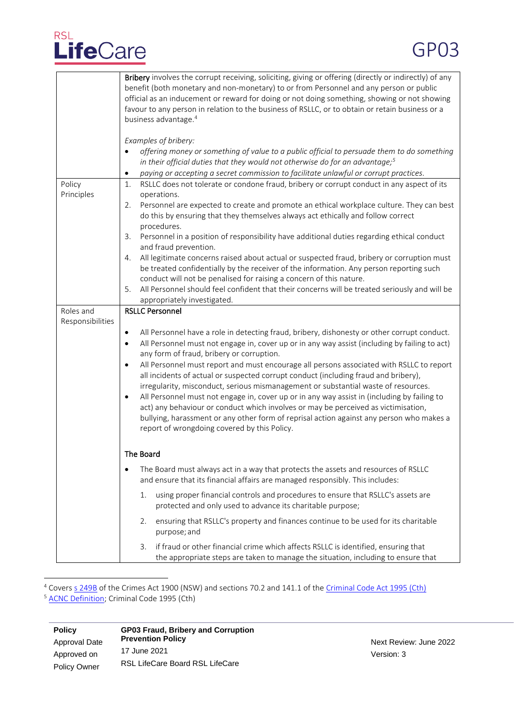## RSL<br>LifeCare

|                               | Bribery involves the corrupt receiving, soliciting, giving or offering (directly or indirectly) of any<br>benefit (both monetary and non-monetary) to or from Personnel and any person or public<br>official as an inducement or reward for doing or not doing something, showing or not showing<br>favour to any person in relation to the business of RSLLC, or to obtain or retain business or a<br>business advantage. <sup>4</sup>                                                                                                                                                                                                                                                                                                                                                                                                                                                                                           |
|-------------------------------|-----------------------------------------------------------------------------------------------------------------------------------------------------------------------------------------------------------------------------------------------------------------------------------------------------------------------------------------------------------------------------------------------------------------------------------------------------------------------------------------------------------------------------------------------------------------------------------------------------------------------------------------------------------------------------------------------------------------------------------------------------------------------------------------------------------------------------------------------------------------------------------------------------------------------------------|
|                               | Examples of bribery:<br>offering money or something of value to a public official to persuade them to do something<br>$\bullet$<br>in their official duties that they would not otherwise do for an advantage; $5$                                                                                                                                                                                                                                                                                                                                                                                                                                                                                                                                                                                                                                                                                                                |
| Policy<br>Principles          | paying or accepting a secret commission to facilitate unlawful or corrupt practices.<br>٠<br>RSLLC does not tolerate or condone fraud, bribery or corrupt conduct in any aspect of its<br>1.<br>operations.<br>Personnel are expected to create and promote an ethical workplace culture. They can best<br>2.<br>do this by ensuring that they themselves always act ethically and follow correct<br>procedures.<br>Personnel in a position of responsibility have additional duties regarding ethical conduct<br>3.                                                                                                                                                                                                                                                                                                                                                                                                              |
|                               | and fraud prevention.<br>All legitimate concerns raised about actual or suspected fraud, bribery or corruption must<br>4.<br>be treated confidentially by the receiver of the information. Any person reporting such<br>conduct will not be penalised for raising a concern of this nature.<br>All Personnel should feel confident that their concerns will be treated seriously and will be<br>5.<br>appropriately investigated.                                                                                                                                                                                                                                                                                                                                                                                                                                                                                                 |
| Roles and<br>Responsibilities | <b>RSLLC Personnel</b><br>All Personnel have a role in detecting fraud, bribery, dishonesty or other corrupt conduct.<br>$\bullet$<br>All Personnel must not engage in, cover up or in any way assist (including by failing to act)<br>$\bullet$<br>any form of fraud, bribery or corruption.<br>All Personnel must report and must encourage all persons associated with RSLLC to report<br>$\bullet$<br>all incidents of actual or suspected corrupt conduct (including fraud and bribery),<br>irregularity, misconduct, serious mismanagement or substantial waste of resources.<br>All Personnel must not engage in, cover up or in any way assist in (including by failing to<br>$\bullet$<br>act) any behaviour or conduct which involves or may be perceived as victimisation,<br>bullying, harassment or any other form of reprisal action against any person who makes a<br>report of wrongdoing covered by this Policy. |
|                               | The Board<br>The Board must always act in a way that protects the assets and resources of RSLLC<br>and ensure that its financial affairs are managed responsibly. This includes:                                                                                                                                                                                                                                                                                                                                                                                                                                                                                                                                                                                                                                                                                                                                                  |
|                               | using proper financial controls and procedures to ensure that RSLLC's assets are<br>1.<br>protected and only used to advance its charitable purpose;                                                                                                                                                                                                                                                                                                                                                                                                                                                                                                                                                                                                                                                                                                                                                                              |
|                               | ensuring that RSLLC's property and finances continue to be used for its charitable<br>2.<br>purpose; and<br>if fraud or other financial crime which affects RSLLC is identified, ensuring that<br>3.<br>the appropriate steps are taken to manage the situation, including to ensure that                                                                                                                                                                                                                                                                                                                                                                                                                                                                                                                                                                                                                                         |

<sup>4</sup> Covers <u>s 249B</u> of the Crimes Act 1900 (NSW) and sections 70.2 and 141.1 of the <u>Criminal Code Act 1995 (Cth)</u> <sup>5</sup> [ACNC Definition;](https://www.acnc.gov.au/for-charities/manage-your-charity/governance-hub/acnc-external-conduct-standards/external-conduct-1) Criminal Code 1995 (Cth)

| <b>Policy</b> | <b>GP03 Fraud, Bribery and Corruption</b> |  |
|---------------|-------------------------------------------|--|
| Approval Date | <b>Prevention Policy</b>                  |  |
| Approved on   | 17 June 2021                              |  |
|               | RSL LifeCare Board RSL LifeCare           |  |
| Policy Owner  |                                           |  |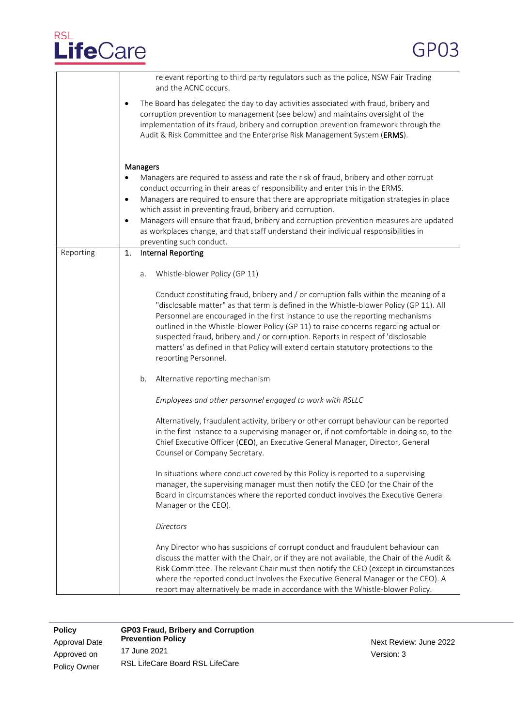## RSL<br>LifeCare

|           | relevant reporting to third party regulators such as the police, NSW Fair Trading<br>and the ACNC occurs.                                                                                                                                                                                                                                                                                                                                                                                                                                                                              |
|-----------|----------------------------------------------------------------------------------------------------------------------------------------------------------------------------------------------------------------------------------------------------------------------------------------------------------------------------------------------------------------------------------------------------------------------------------------------------------------------------------------------------------------------------------------------------------------------------------------|
|           | The Board has delegated the day to day activities associated with fraud, bribery and<br>$\bullet$<br>corruption prevention to management (see below) and maintains oversight of the<br>implementation of its fraud, bribery and corruption prevention framework through the<br>Audit & Risk Committee and the Enterprise Risk Management System (ERMS).                                                                                                                                                                                                                                |
|           | Managers<br>Managers are required to assess and rate the risk of fraud, bribery and other corrupt<br>conduct occurring in their areas of responsibility and enter this in the ERMS.<br>Managers are required to ensure that there are appropriate mitigation strategies in place<br>$\bullet$<br>which assist in preventing fraud, bribery and corruption.<br>Managers will ensure that fraud, bribery and corruption prevention measures are updated<br>$\bullet$<br>as workplaces change, and that staff understand their individual responsibilities in<br>preventing such conduct. |
| Reporting | <b>Internal Reporting</b><br>1.                                                                                                                                                                                                                                                                                                                                                                                                                                                                                                                                                        |
|           | Whistle-blower Policy (GP 11)<br>a.                                                                                                                                                                                                                                                                                                                                                                                                                                                                                                                                                    |
|           | Conduct constituting fraud, bribery and / or corruption falls within the meaning of a<br>"disclosable matter" as that term is defined in the Whistle-blower Policy (GP 11). All<br>Personnel are encouraged in the first instance to use the reporting mechanisms<br>outlined in the Whistle-blower Policy (GP 11) to raise concerns regarding actual or<br>suspected fraud, bribery and / or corruption. Reports in respect of 'disclosable<br>matters' as defined in that Policy will extend certain statutory protections to the<br>reporting Personnel.                            |
|           | Alternative reporting mechanism<br>b.                                                                                                                                                                                                                                                                                                                                                                                                                                                                                                                                                  |
|           | Employees and other personnel engaged to work with RSLLC                                                                                                                                                                                                                                                                                                                                                                                                                                                                                                                               |
|           | Alternatively, fraudulent activity, bribery or other corrupt behaviour can be reported<br>in the first instance to a supervising manager or, if not comfortable in doing so, to the<br>Chief Executive Officer (CEO), an Executive General Manager, Director, General<br>Counsel or Company Secretary.                                                                                                                                                                                                                                                                                 |
|           | In situations where conduct covered by this Policy is reported to a supervising<br>manager, the supervising manager must then notify the CEO (or the Chair of the<br>Board in circumstances where the reported conduct involves the Executive General<br>Manager or the CEO).                                                                                                                                                                                                                                                                                                          |
|           | Directors                                                                                                                                                                                                                                                                                                                                                                                                                                                                                                                                                                              |
|           | Any Director who has suspicions of corrupt conduct and fraudulent behaviour can<br>discuss the matter with the Chair, or if they are not available, the Chair of the Audit &<br>Risk Committee. The relevant Chair must then notify the CEO (except in circumstances<br>where the reported conduct involves the Executive General Manager or the CEO). A<br>report may alternatively be made in accordance with the Whistle-blower Policy.                                                                                                                                             |

**Policy**  Approval Date Approved on Policy Owner **GP03 Fraud, Bribery and Corruption Prevention Policy** 17 June 2021 RSL LifeCare Board RSL LifeCare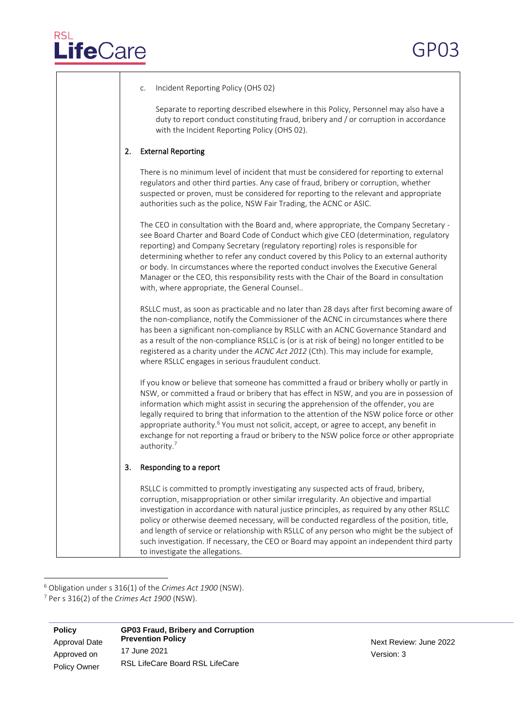| Incident Reporting Policy (OHS 02)<br>C.                                                                                                                                                                                                                                                                                                                                                                                                                                                                                                                                                                       |
|----------------------------------------------------------------------------------------------------------------------------------------------------------------------------------------------------------------------------------------------------------------------------------------------------------------------------------------------------------------------------------------------------------------------------------------------------------------------------------------------------------------------------------------------------------------------------------------------------------------|
| Separate to reporting described elsewhere in this Policy, Personnel may also have a<br>duty to report conduct constituting fraud, bribery and / or corruption in accordance<br>with the Incident Reporting Policy (OHS 02).                                                                                                                                                                                                                                                                                                                                                                                    |
| <b>External Reporting</b><br>2.                                                                                                                                                                                                                                                                                                                                                                                                                                                                                                                                                                                |
| There is no minimum level of incident that must be considered for reporting to external<br>regulators and other third parties. Any case of fraud, bribery or corruption, whether<br>suspected or proven, must be considered for reporting to the relevant and appropriate<br>authorities such as the police, NSW Fair Trading, the ACNC or ASIC.                                                                                                                                                                                                                                                               |
| The CEO in consultation with the Board and, where appropriate, the Company Secretary -<br>see Board Charter and Board Code of Conduct which give CEO (determination, regulatory<br>reporting) and Company Secretary (regulatory reporting) roles is responsible for<br>determining whether to refer any conduct covered by this Policy to an external authority<br>or body. In circumstances where the reported conduct involves the Executive General<br>Manager or the CEO, this responsibility rests with the Chair of the Board in consultation<br>with, where appropriate, the General Counsel            |
| RSLLC must, as soon as practicable and no later than 28 days after first becoming aware of<br>the non-compliance, notify the Commissioner of the ACNC in circumstances where there<br>has been a significant non-compliance by RSLLC with an ACNC Governance Standard and<br>as a result of the non-compliance RSLLC is (or is at risk of being) no longer entitled to be<br>registered as a charity under the ACNC Act 2012 (Cth). This may include for example,<br>where RSLLC engages in serious fraudulent conduct.                                                                                        |
| If you know or believe that someone has committed a fraud or bribery wholly or partly in<br>NSW, or committed a fraud or bribery that has effect in NSW, and you are in possession of<br>information which might assist in securing the apprehension of the offender, you are<br>legally required to bring that information to the attention of the NSW police force or other<br>appropriate authority. <sup>6</sup> You must not solicit, accept, or agree to accept, any benefit in<br>exchange for not reporting a fraud or bribery to the NSW police force or other appropriate<br>authority. <sup>7</sup> |
| 3.<br>Responding to a report                                                                                                                                                                                                                                                                                                                                                                                                                                                                                                                                                                                   |
| RSLLC is committed to promptly investigating any suspected acts of fraud, bribery,<br>corruption, misappropriation or other similar irregularity. An objective and impartial<br>investigation in accordance with natural justice principles, as required by any other RSLLC<br>policy or otherwise deemed necessary, will be conducted regardless of the position, title,<br>and length of service or relationship with RSLLC of any person who might be the subject of<br>such investigation. If necessary, the CEO or Board may appoint an independent third party<br>to investigate the allegations.        |

<sup>6</sup> Obligation under s 316(1) of the *Crimes Act 1900* (NSW).

<sup>7</sup> Per s 316(2) of the *Crimes Act 1900* (NSW).

| <b>Policy</b> | <b>GP03 Fraud, Bribery and Corruption</b> |  |
|---------------|-------------------------------------------|--|
| Approval Date | <b>Prevention Policy</b>                  |  |
| Approved on   | 17 June 2021                              |  |
|               | <b>RSL LifeCare Board RSL LifeCare</b>    |  |
| Policy Owner  |                                           |  |